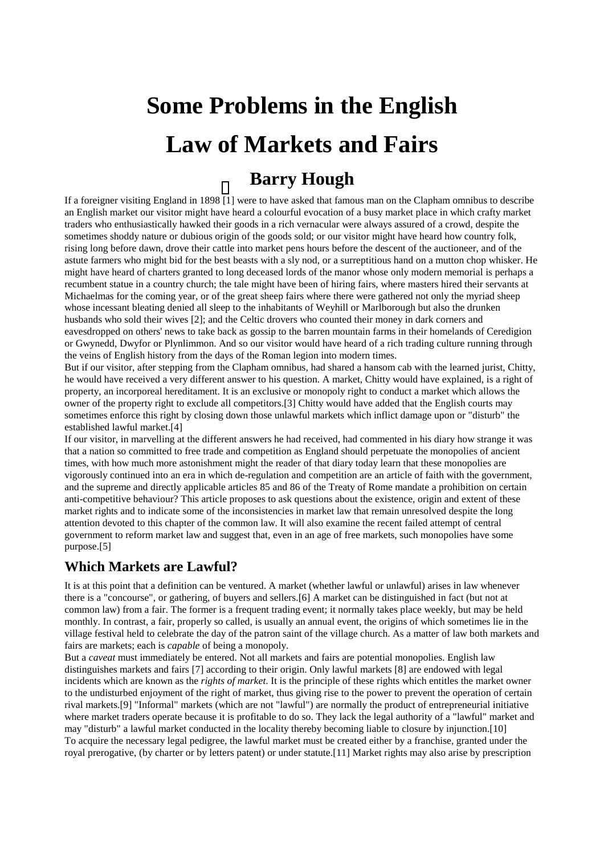# **Some Problems in the English Law of Markets and Fairs**

# **Barry Hough**

If a foreigner visiting England in 1898 [1] were to have asked that famous man on the Clapham omnibus to describe an English market our visitor might have heard a colourful evocation of a busy market place in which crafty market traders who enthusiastically hawked their goods in a rich vernacular were always assured of a crowd, despite the sometimes shoddy nature or dubious origin of the goods sold; or our visitor might have heard how country folk, rising long before dawn, drove their cattle into market pens hours before the descent of the auctioneer, and of the astute farmers who might bid for the best beasts with a sly nod, or a surreptitious hand on a mutton chop whisker. He might have heard of charters granted to long deceased lords of the manor whose only modern memorial is perhaps a recumbent statue in a country church; the tale might have been of hiring fairs, where masters hired their servants at Michaelmas for the coming year, or of the great sheep fairs where there were gathered not only the myriad sheep whose incessant bleating denied all sleep to the inhabitants of Weyhill or Marlborough but also the drunken husbands who sold their wives [2]; and the Celtic drovers who counted their money in dark corners and eavesdropped on others' news to take back as gossip to the barren mountain farms in their homelands of Ceredigion or Gwynedd, Dwyfor or Plynlimmon. And so our visitor would have heard of a rich trading culture running through the veins of English history from the days of the Roman legion into modern times.

But if our visitor, after stepping from the Clapham omnibus, had shared a hansom cab with the learned jurist, Chitty, he would have received a very different answer to his question. A market, Chitty would have explained, is a right of property, an incorporeal hereditament. It is an exclusive or monopoly right to conduct a market which allows the owner of the property right to exclude all competitors.[3] Chitty would have added that the English courts may sometimes enforce this right by closing down those unlawful markets which inflict damage upon or "disturb" the established lawful market.[4]

If our visitor, in marvelling at the different answers he had received, had commented in his diary how strange it was that a nation so committed to free trade and competition as England should perpetuate the monopolies of ancient times, with how much more astonishment might the reader of that diary today learn that these monopolies are vigorously continued into an era in which de-regulation and competition are an article of faith with the government, and the supreme and directly applicable articles 85 and 86 of the Treaty of Rome mandate a prohibition on certain anti-competitive behaviour? This article proposes to ask questions about the existence, origin and extent of these market rights and to indicate some of the inconsistencies in market law that remain unresolved despite the long attention devoted to this chapter of the common law. It will also examine the recent failed attempt of central government to reform market law and suggest that, even in an age of free markets, such monopolies have some purpose.[5]

# **Which Markets are Lawful?**

It is at this point that a definition can be ventured. A market (whether lawful or unlawful) arises in law whenever there is a "concourse", or gathering, of buyers and sellers.[6] A market can be distinguished in fact (but not at common law) from a fair. The former is a frequent trading event; it normally takes place weekly, but may be held monthly. In contrast, a fair, properly so called, is usually an annual event, the origins of which sometimes lie in the village festival held to celebrate the day of the patron saint of the village church. As a matter of law both markets and fairs are markets; each is *capable* of being a monopoly.

But a *caveat* must immediately be entered. Not all markets and fairs are potential monopolies. English law distinguishes markets and fairs [7] according to their origin. Only lawful markets [8] are endowed with legal incidents which are known as the *rights of market*. It is the principle of these rights which entitles the market owner to the undisturbed enjoyment of the right of market, thus giving rise to the power to prevent the operation of certain rival markets.[9] "Informal" markets (which are not "lawful") are normally the product of entrepreneurial initiative where market traders operate because it is profitable to do so. They lack the legal authority of a "lawful" market and may "disturb" a lawful market conducted in the locality thereby becoming liable to closure by injunction.[10] To acquire the necessary legal pedigree, the lawful market must be created either by a franchise, granted under the royal prerogative, (by charter or by letters patent) or under statute.[11] Market rights may also arise by prescription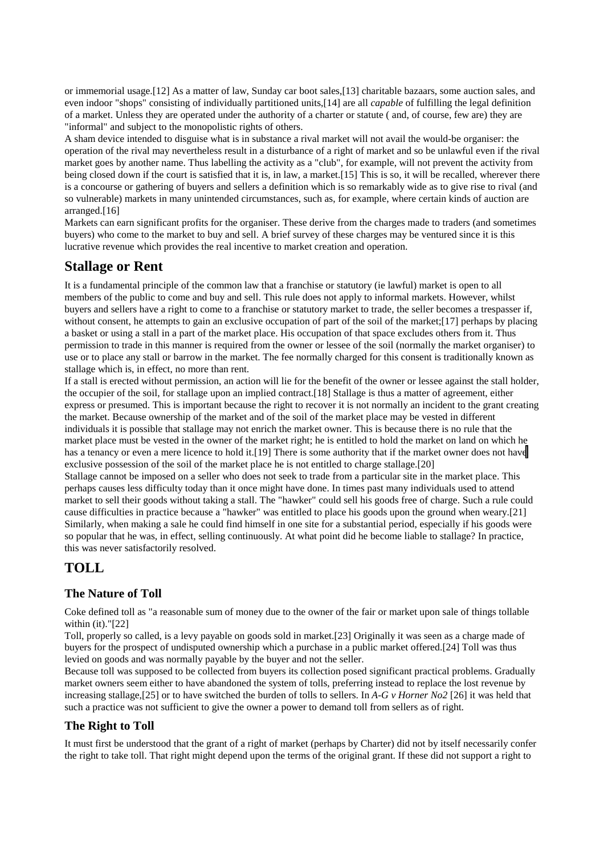or immemorial usage.[12] As a matter of law, Sunday car boot sales,[13] charitable bazaars, some auction sales, and even indoor "shops" consisting of individually partitioned units,[14] are all *capable* of fulfilling the legal definition of a market. Unless they are operated under the authority of a charter or statute ( and, of course, few are) they are "informal" and subject to the monopolistic rights of others.

A sham device intended to disguise what is in substance a rival market will not avail the would-be organiser: the operation of the rival may nevertheless result in a disturbance of a right of market and so be unlawful even if the rival market goes by another name. Thus labelling the activity as a "club", for example, will not prevent the activity from being closed down if the court is satisfied that it is, in law, a market.[15] This is so, it will be recalled, wherever there is a concourse or gathering of buyers and sellers a definition which is so remarkably wide as to give rise to rival (and so vulnerable) markets in many unintended circumstances, such as, for example, where certain kinds of auction are arranged.[16]

Markets can earn significant profits for the organiser. These derive from the charges made to traders (and sometimes buyers) who come to the market to buy and sell. A brief survey of these charges may be ventured since it is this lucrative revenue which provides the real incentive to market creation and operation.

## **Stallage or Rent**

It is a fundamental principle of the common law that a franchise or statutory (ie lawful) market is open to all members of the public to come and buy and sell. This rule does not apply to informal markets. However, whilst buyers and sellers have a right to come to a franchise or statutory market to trade, the seller becomes a trespasser if, without consent, he attempts to gain an exclusive occupation of part of the soil of the market;[17] perhaps by placing a basket or using a stall in a part of the market place. His occupation of that space excludes others from it. Thus permission to trade in this manner is required from the owner or lessee of the soil (normally the market organiser) to use or to place any stall or barrow in the market. The fee normally charged for this consent is traditionally known as stallage which is, in effect, no more than rent.

If a stall is erected without permission, an action will lie for the benefit of the owner or lessee against the stall holder, the occupier of the soil, for stallage upon an implied contract.[18] Stallage is thus a matter of agreement, either express or presumed. This is important because the right to recover it is not normally an incident to the grant creating the market. Because ownership of the market and of the soil of the market place may be vested in different individuals it is possible that stallage may not enrich the market owner. This is because there is no rule that the market place must be vested in the owner of the market right; he is entitled to hold the market on land on which he has a tenancy or even a mere licence to hold it.<sup>[19]</sup> There is some authority that if the market owner does not have exclusive possession of the soil of the market place he is not entitled to charge stallage.[20] Stallage cannot be imposed on a seller who does not seek to trade from a particular site in the market place. This perhaps causes less difficulty today than it once might have done. In times past many individuals used to attend

market to sell their goods without taking a stall. The "hawker" could sell his goods free of charge. Such a rule could cause difficulties in practice because a "hawker" was entitled to place his goods upon the ground when weary.[21] Similarly, when making a sale he could find himself in one site for a substantial period, especially if his goods were so popular that he was, in effect, selling continuously. At what point did he become liable to stallage? In practice, this was never satisfactorily resolved.

# **TOLL**

### **The Nature of Toll**

Coke defined toll as "a reasonable sum of money due to the owner of the fair or market upon sale of things tollable within (it)."[22]

Toll, properly so called, is a levy payable on goods sold in market.[23] Originally it was seen as a charge made of buyers for the prospect of undisputed ownership which a purchase in a public market offered.[24] Toll was thus levied on goods and was normally payable by the buyer and not the seller.

Because toll was supposed to be collected from buyers its collection posed significant practical problems. Gradually market owners seem either to have abandoned the system of tolls, preferring instead to replace the lost revenue by increasing stallage,[25] or to have switched the burden of tolls to sellers. In *A-G v Horner No2* [26] it was held that such a practice was not sufficient to give the owner a power to demand toll from sellers as of right.

#### **The Right to Toll**

It must first be understood that the grant of a right of market (perhaps by Charter) did not by itself necessarily confer the right to take toll. That right might depend upon the terms of the original grant. If these did not support a right to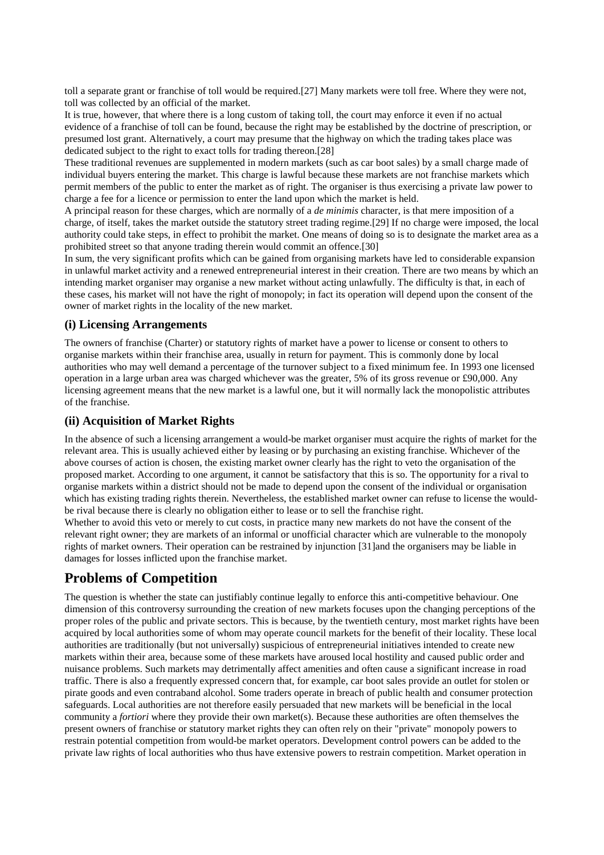toll a separate grant or franchise of toll would be required.[27] Many markets were toll free. Where they were not, toll was collected by an official of the market.

It is true, however, that where there is a long custom of taking toll, the court may enforce it even if no actual evidence of a franchise of toll can be found, because the right may be established by the doctrine of prescription, or presumed lost grant. Alternatively, a court may presume that the highway on which the trading takes place was dedicated subject to the right to exact tolls for trading thereon.[28]

These traditional revenues are supplemented in modern markets (such as car boot sales) by a small charge made of individual buyers entering the market. This charge is lawful because these markets are not franchise markets which permit members of the public to enter the market as of right. The organiser is thus exercising a private law power to charge a fee for a licence or permission to enter the land upon which the market is held.

A principal reason for these charges, which are normally of a *de minimis* character, is that mere imposition of a charge, of itself, takes the market outside the statutory street trading regime.[29] If no charge were imposed, the local authority could take steps, in effect to prohibit the market. One means of doing so is to designate the market area as a prohibited street so that anyone trading therein would commit an offence.[30]

In sum, the very significant profits which can be gained from organising markets have led to considerable expansion in unlawful market activity and a renewed entrepreneurial interest in their creation. There are two means by which an intending market organiser may organise a new market without acting unlawfully. The difficulty is that, in each of these cases, his market will not have the right of monopoly; in fact its operation will depend upon the consent of the owner of market rights in the locality of the new market.

#### **(i) Licensing Arrangements**

The owners of franchise (Charter) or statutory rights of market have a power to license or consent to others to organise markets within their franchise area, usually in return for payment. This is commonly done by local authorities who may well demand a percentage of the turnover subject to a fixed minimum fee. In 1993 one licensed operation in a large urban area was charged whichever was the greater, 5% of its gross revenue or £90,000. Any licensing agreement means that the new market is a lawful one, but it will normally lack the monopolistic attributes of the franchise.

#### **(ii) Acquisition of Market Rights**

In the absence of such a licensing arrangement a would-be market organiser must acquire the rights of market for the relevant area. This is usually achieved either by leasing or by purchasing an existing franchise. Whichever of the above courses of action is chosen, the existing market owner clearly has the right to veto the organisation of the proposed market. According to one argument, it cannot be satisfactory that this is so. The opportunity for a rival to organise markets within a district should not be made to depend upon the consent of the individual or organisation which has existing trading rights therein. Nevertheless, the established market owner can refuse to license the wouldbe rival because there is clearly no obligation either to lease or to sell the franchise right.

Whether to avoid this veto or merely to cut costs, in practice many new markets do not have the consent of the relevant right owner; they are markets of an informal or unofficial character which are vulnerable to the monopoly rights of market owners. Their operation can be restrained by injunction [31]and the organisers may be liable in damages for losses inflicted upon the franchise market.

# **Problems of Competition**

The question is whether the state can justifiably continue legally to enforce this anti-competitive behaviour. One dimension of this controversy surrounding the creation of new markets focuses upon the changing perceptions of the proper roles of the public and private sectors. This is because, by the twentieth century, most market rights have been acquired by local authorities some of whom may operate council markets for the benefit of their locality. These local authorities are traditionally (but not universally) suspicious of entrepreneurial initiatives intended to create new markets within their area, because some of these markets have aroused local hostility and caused public order and nuisance problems. Such markets may detrimentally affect amenities and often cause a significant increase in road traffic. There is also a frequently expressed concern that, for example, car boot sales provide an outlet for stolen or pirate goods and even contraband alcohol. Some traders operate in breach of public health and consumer protection safeguards. Local authorities are not therefore easily persuaded that new markets will be beneficial in the local community a *fortiori* where they provide their own market(s). Because these authorities are often themselves the present owners of franchise or statutory market rights they can often rely on their "private" monopoly powers to restrain potential competition from would-be market operators. Development control powers can be added to the private law rights of local authorities who thus have extensive powers to restrain competition. Market operation in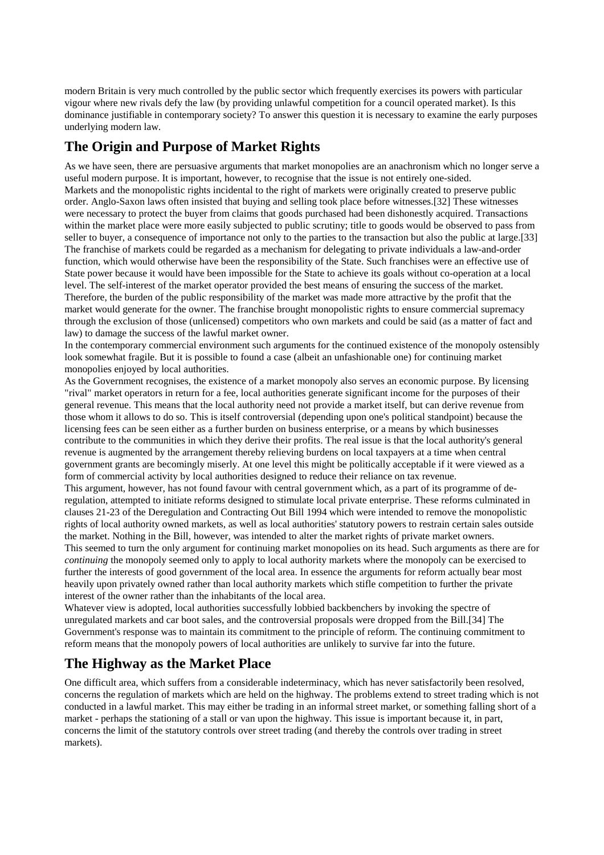modern Britain is very much controlled by the public sector which frequently exercises its powers with particular vigour where new rivals defy the law (by providing unlawful competition for a council operated market). Is this dominance justifiable in contemporary society? To answer this question it is necessary to examine the early purposes underlying modern law.

# **The Origin and Purpose of Market Rights**

As we have seen, there are persuasive arguments that market monopolies are an anachronism which no longer serve a useful modern purpose. It is important, however, to recognise that the issue is not entirely one-sided. Markets and the monopolistic rights incidental to the right of markets were originally created to preserve public order. Anglo-Saxon laws often insisted that buying and selling took place before witnesses.[32] These witnesses were necessary to protect the buyer from claims that goods purchased had been dishonestly acquired. Transactions within the market place were more easily subjected to public scrutiny; title to goods would be observed to pass from seller to buyer, a consequence of importance not only to the parties to the transaction but also the public at large.[33] The franchise of markets could be regarded as a mechanism for delegating to private individuals a law-and-order function, which would otherwise have been the responsibility of the State. Such franchises were an effective use of State power because it would have been impossible for the State to achieve its goals without co-operation at a local level. The self-interest of the market operator provided the best means of ensuring the success of the market. Therefore, the burden of the public responsibility of the market was made more attractive by the profit that the market would generate for the owner. The franchise brought monopolistic rights to ensure commercial supremacy through the exclusion of those (unlicensed) competitors who own markets and could be said (as a matter of fact and law) to damage the success of the lawful market owner.

In the contemporary commercial environment such arguments for the continued existence of the monopoly ostensibly look somewhat fragile. But it is possible to found a case (albeit an unfashionable one) for continuing market monopolies enjoyed by local authorities.

As the Government recognises, the existence of a market monopoly also serves an economic purpose. By licensing "rival" market operators in return for a fee, local authorities generate significant income for the purposes of their general revenue. This means that the local authority need not provide a market itself, but can derive revenue from those whom it allows to do so. This is itself controversial (depending upon one's political standpoint) because the licensing fees can be seen either as a further burden on business enterprise, or a means by which businesses contribute to the communities in which they derive their profits. The real issue is that the local authority's general revenue is augmented by the arrangement thereby relieving burdens on local taxpayers at a time when central government grants are becomingly miserly. At one level this might be politically acceptable if it were viewed as a form of commercial activity by local authorities designed to reduce their reliance on tax revenue.

This argument, however, has not found favour with central government which, as a part of its programme of deregulation, attempted to initiate reforms designed to stimulate local private enterprise. These reforms culminated in clauses 21-23 of the Deregulation and Contracting Out Bill 1994 which were intended to remove the monopolistic rights of local authority owned markets, as well as local authorities' statutory powers to restrain certain sales outside the market. Nothing in the Bill, however, was intended to alter the market rights of private market owners. This seemed to turn the only argument for continuing market monopolies on its head. Such arguments as there are for *continuing* the monopoly seemed only to apply to local authority markets where the monopoly can be exercised to further the interests of good government of the local area. In essence the arguments for reform actually bear most heavily upon privately owned rather than local authority markets which stifle competition to further the private interest of the owner rather than the inhabitants of the local area.

Whatever view is adopted, local authorities successfully lobbied backbenchers by invoking the spectre of unregulated markets and car boot sales, and the controversial proposals were dropped from the Bill.[34] The Government's response was to maintain its commitment to the principle of reform. The continuing commitment to reform means that the monopoly powers of local authorities are unlikely to survive far into the future.

# **The Highway as the Market Place**

One difficult area, which suffers from a considerable indeterminacy, which has never satisfactorily been resolved, concerns the regulation of markets which are held on the highway. The problems extend to street trading which is not conducted in a lawful market. This may either be trading in an informal street market, or something falling short of a market - perhaps the stationing of a stall or van upon the highway. This issue is important because it, in part, concerns the limit of the statutory controls over street trading (and thereby the controls over trading in street markets).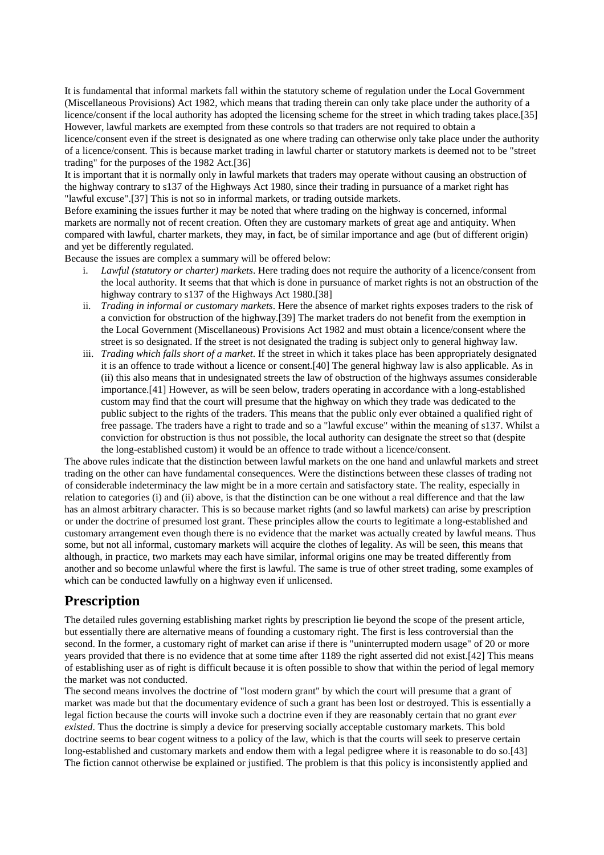It is fundamental that informal markets fall within the statutory scheme of regulation under the Local Government (Miscellaneous Provisions) Act 1982, which means that trading therein can only take place under the authority of a licence/consent if the local authority has adopted the licensing scheme for the street in which trading takes place.[35] However, lawful markets are exempted from these controls so that traders are not required to obtain a

licence/consent even if the street is designated as one where trading can otherwise only take place under the authority of a licence/consent. This is because market trading in lawful charter or statutory markets is deemed not to be "street trading" for the purposes of the 1982 Act.[36]

It is important that it is normally only in lawful markets that traders may operate without causing an obstruction of the highway contrary to s137 of the Highways Act 1980, since their trading in pursuance of a market right has "lawful excuse".[37] This is not so in informal markets, or trading outside markets.

Before examining the issues further it may be noted that where trading on the highway is concerned, informal markets are normally not of recent creation. Often they are customary markets of great age and antiquity. When compared with lawful, charter markets, they may, in fact, be of similar importance and age (but of different origin) and yet be differently regulated.

Because the issues are complex a summary will be offered below:

- i. *Lawful (statutory or charter) markets*. Here trading does not require the authority of a licence/consent from the local authority. It seems that that which is done in pursuance of market rights is not an obstruction of the highway contrary to s137 of the Highways Act 1980.[38]
- ii. *Trading in informal or customary markets*. Here the absence of market rights exposes traders to the risk of a conviction for obstruction of the highway.[39] The market traders do not benefit from the exemption in the Local Government (Miscellaneous) Provisions Act 1982 and must obtain a licence/consent where the street is so designated. If the street is not designated the trading is subject only to general highway law.
- iii. *Trading which falls short of a market*. If the street in which it takes place has been appropriately designated it is an offence to trade without a licence or consent.[40] The general highway law is also applicable. As in (ii) this also means that in undesignated streets the law of obstruction of the highways assumes considerable importance.[41] However, as will be seen below, traders operating in accordance with a long-established custom may find that the court will presume that the highway on which they trade was dedicated to the public subject to the rights of the traders. This means that the public only ever obtained a qualified right of free passage. The traders have a right to trade and so a "lawful excuse" within the meaning of s137. Whilst a conviction for obstruction is thus not possible, the local authority can designate the street so that (despite the long-established custom) it would be an offence to trade without a licence/consent.

The above rules indicate that the distinction between lawful markets on the one hand and unlawful markets and street trading on the other can have fundamental consequences. Were the distinctions between these classes of trading not of considerable indeterminacy the law might be in a more certain and satisfactory state. The reality, especially in relation to categories (i) and (ii) above, is that the distinction can be one without a real difference and that the law has an almost arbitrary character. This is so because market rights (and so lawful markets) can arise by prescription or under the doctrine of presumed lost grant. These principles allow the courts to legitimate a long-established and customary arrangement even though there is no evidence that the market was actually created by lawful means. Thus some, but not all informal, customary markets will acquire the clothes of legality. As will be seen, this means that although, in practice, two markets may each have similar, informal origins one may be treated differently from another and so become unlawful where the first is lawful. The same is true of other street trading, some examples of which can be conducted lawfully on a highway even if unlicensed.

### **Prescription**

The detailed rules governing establishing market rights by prescription lie beyond the scope of the present article, but essentially there are alternative means of founding a customary right. The first is less controversial than the second. In the former, a customary right of market can arise if there is "uninterrupted modern usage" of 20 or more years provided that there is no evidence that at some time after 1189 the right asserted did not exist.[42] This means of establishing user as of right is difficult because it is often possible to show that within the period of legal memory the market was not conducted.

The second means involves the doctrine of "lost modern grant" by which the court will presume that a grant of market was made but that the documentary evidence of such a grant has been lost or destroyed. This is essentially a legal fiction because the courts will invoke such a doctrine even if they are reasonably certain that no grant *ever existed*. Thus the doctrine is simply a device for preserving socially acceptable customary markets. This bold doctrine seems to bear cogent witness to a policy of the law, which is that the courts will seek to preserve certain long-established and customary markets and endow them with a legal pedigree where it is reasonable to do so.[43] The fiction cannot otherwise be explained or justified. The problem is that this policy is inconsistently applied and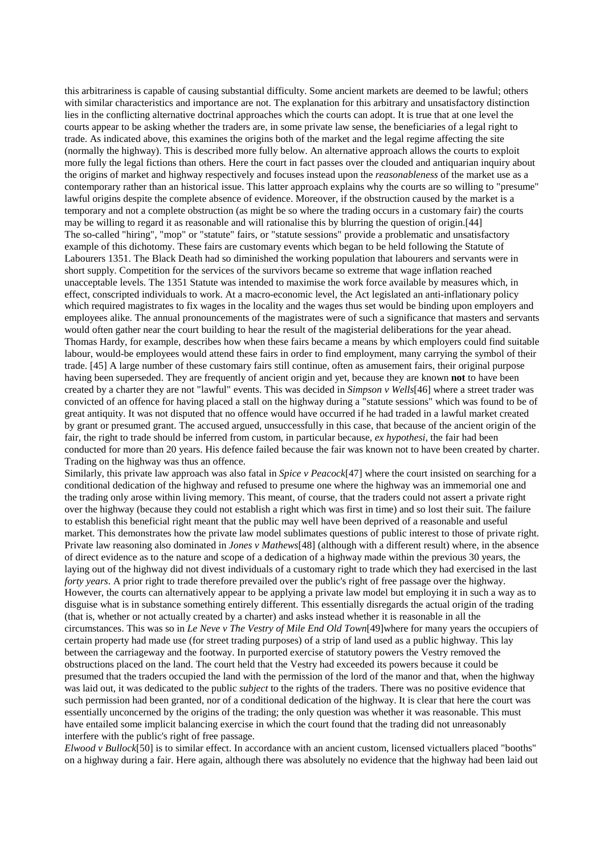this arbitrariness is capable of causing substantial difficulty. Some ancient markets are deemed to be lawful; others with similar characteristics and importance are not. The explanation for this arbitrary and unsatisfactory distinction lies in the conflicting alternative doctrinal approaches which the courts can adopt. It is true that at one level the courts appear to be asking whether the traders are, in some private law sense, the beneficiaries of a legal right to trade. As indicated above, this examines the origins both of the market and the legal regime affecting the site (normally the highway). This is described more fully below. An alternative approach allows the courts to exploit more fully the legal fictions than others. Here the court in fact passes over the clouded and antiquarian inquiry about the origins of market and highway respectively and focuses instead upon the *reasonableness* of the market use as a contemporary rather than an historical issue. This latter approach explains why the courts are so willing to "presume" lawful origins despite the complete absence of evidence. Moreover, if the obstruction caused by the market is a temporary and not a complete obstruction (as might be so where the trading occurs in a customary fair) the courts may be willing to regard it as reasonable and will rationalise this by blurring the question of origin.[44] The so-called "hiring", "mop" or "statute" fairs, or "statute sessions" provide a problematic and unsatisfactory example of this dichotomy. These fairs are customary events which began to be held following the Statute of Labourers 1351. The Black Death had so diminished the working population that labourers and servants were in short supply. Competition for the services of the survivors became so extreme that wage inflation reached unacceptable levels. The 1351 Statute was intended to maximise the work force available by measures which, in effect, conscripted individuals to work. At a macro-economic level, the Act legislated an anti-inflationary policy which required magistrates to fix wages in the locality and the wages thus set would be binding upon employers and employees alike. The annual pronouncements of the magistrates were of such a significance that masters and servants would often gather near the court building to hear the result of the magisterial deliberations for the year ahead. Thomas Hardy, for example, describes how when these fairs became a means by which employers could find suitable labour, would-be employees would attend these fairs in order to find employment, many carrying the symbol of their trade. [45] A large number of these customary fairs still continue, often as amusement fairs, their original purpose having been superseded. They are frequently of ancient origin and yet, because they are known **not** to have been created by a charter they are not "lawful" events. This was decided in *Simpson v Wells*[46] where a street trader was convicted of an offence for having placed a stall on the highway during a "statute sessions" which was found to be of great antiquity. It was not disputed that no offence would have occurred if he had traded in a lawful market created by grant or presumed grant. The accused argued, unsuccessfully in this case, that because of the ancient origin of the fair, the right to trade should be inferred from custom, in particular because, *ex hypothesi*, the fair had been conducted for more than 20 years. His defence failed because the fair was known not to have been created by charter. Trading on the highway was thus an offence.

Similarly, this private law approach was also fatal in *Spice v Peacock*[47] where the court insisted on searching for a conditional dedication of the highway and refused to presume one where the highway was an immemorial one and the trading only arose within living memory. This meant, of course, that the traders could not assert a private right over the highway (because they could not establish a right which was first in time) and so lost their suit. The failure to establish this beneficial right meant that the public may well have been deprived of a reasonable and useful market. This demonstrates how the private law model sublimates questions of public interest to those of private right. Private law reasoning also dominated in *Jones v Mathews*[48] (although with a different result) where, in the absence of direct evidence as to the nature and scope of a dedication of a highway made within the previous 30 years, the laying out of the highway did not divest individuals of a customary right to trade which they had exercised in the last *forty years*. A prior right to trade therefore prevailed over the public's right of free passage over the highway. However, the courts can alternatively appear to be applying a private law model but employing it in such a way as to disguise what is in substance something entirely different. This essentially disregards the actual origin of the trading (that is, whether or not actually created by a charter) and asks instead whether it is reasonable in all the circumstances. This was so in *Le Neve v The Vestry of Mile End Old Town*[49]where for many years the occupiers of certain property had made use (for street trading purposes) of a strip of land used as a public highway. This lay between the carriageway and the footway. In purported exercise of statutory powers the Vestry removed the obstructions placed on the land. The court held that the Vestry had exceeded its powers because it could be presumed that the traders occupied the land with the permission of the lord of the manor and that, when the highway was laid out, it was dedicated to the public *subject* to the rights of the traders. There was no positive evidence that such permission had been granted, nor of a conditional dedication of the highway. It is clear that here the court was essentially unconcerned by the origins of the trading; the only question was whether it was reasonable. This must have entailed some implicit balancing exercise in which the court found that the trading did not unreasonably interfere with the public's right of free passage.

*Elwood v Bullock*[50] is to similar effect. In accordance with an ancient custom, licensed victuallers placed "booths" on a highway during a fair. Here again, although there was absolutely no evidence that the highway had been laid out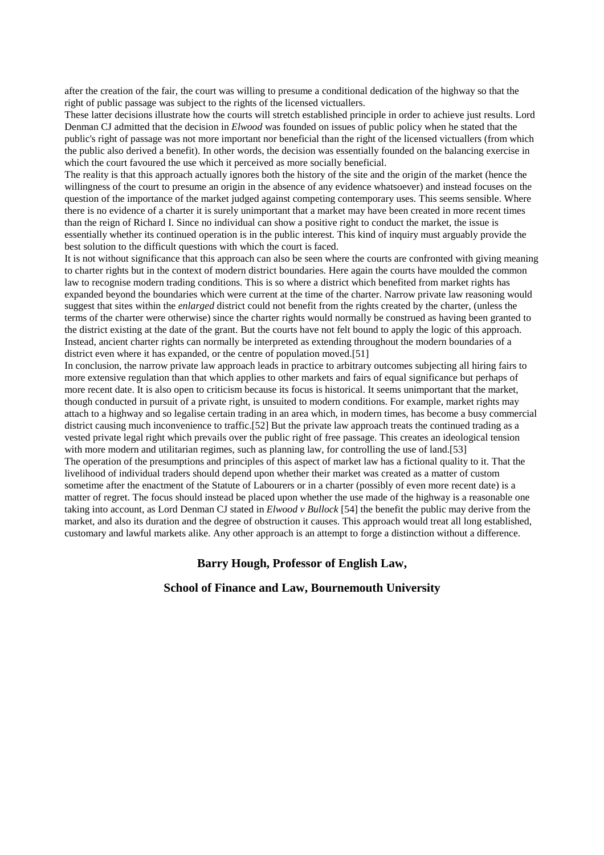after the creation of the fair, the court was willing to presume a conditional dedication of the highway so that the right of public passage was subject to the rights of the licensed victuallers.

These latter decisions illustrate how the courts will stretch established principle in order to achieve just results. Lord Denman CJ admitted that the decision in *Elwood* was founded on issues of public policy when he stated that the public's right of passage was not more important nor beneficial than the right of the licensed victuallers (from which the public also derived a benefit). In other words, the decision was essentially founded on the balancing exercise in which the court favoured the use which it perceived as more socially beneficial.

The reality is that this approach actually ignores both the history of the site and the origin of the market (hence the willingness of the court to presume an origin in the absence of any evidence whatsoever) and instead focuses on the question of the importance of the market judged against competing contemporary uses. This seems sensible. Where there is no evidence of a charter it is surely unimportant that a market may have been created in more recent times than the reign of Richard I. Since no individual can show a positive right to conduct the market, the issue is essentially whether its continued operation is in the public interest. This kind of inquiry must arguably provide the best solution to the difficult questions with which the court is faced.

It is not without significance that this approach can also be seen where the courts are confronted with giving meaning to charter rights but in the context of modern district boundaries. Here again the courts have moulded the common law to recognise modern trading conditions. This is so where a district which benefited from market rights has expanded beyond the boundaries which were current at the time of the charter. Narrow private law reasoning would suggest that sites within the *enlarged* district could not benefit from the rights created by the charter, (unless the terms of the charter were otherwise) since the charter rights would normally be construed as having been granted to the district existing at the date of the grant. But the courts have not felt bound to apply the logic of this approach. Instead, ancient charter rights can normally be interpreted as extending throughout the modern boundaries of a district even where it has expanded, or the centre of population moved.[51]

In conclusion, the narrow private law approach leads in practice to arbitrary outcomes subjecting all hiring fairs to more extensive regulation than that which applies to other markets and fairs of equal significance but perhaps of more recent date. It is also open to criticism because its focus is historical. It seems unimportant that the market, though conducted in pursuit of a private right, is unsuited to modern conditions. For example, market rights may attach to a highway and so legalise certain trading in an area which, in modern times, has become a busy commercial district causing much inconvenience to traffic.[52] But the private law approach treats the continued trading as a vested private legal right which prevails over the public right of free passage. This creates an ideological tension with more modern and utilitarian regimes, such as planning law, for controlling the use of land.[53] The operation of the presumptions and principles of this aspect of market law has a fictional quality to it. That the livelihood of individual traders should depend upon whether their market was created as a matter of custom sometime after the enactment of the Statute of Labourers or in a charter (possibly of even more recent date) is a matter of regret. The focus should instead be placed upon whether the use made of the highway is a reasonable one taking into account, as Lord Denman CJ stated in *Elwood v Bullock* [54] the benefit the public may derive from the market, and also its duration and the degree of obstruction it causes. This approach would treat all long established, customary and lawful markets alike. Any other approach is an attempt to forge a distinction without a difference.

#### **Barry Hough, Professor of English Law,**

#### **School of Finance and Law, Bournemouth University**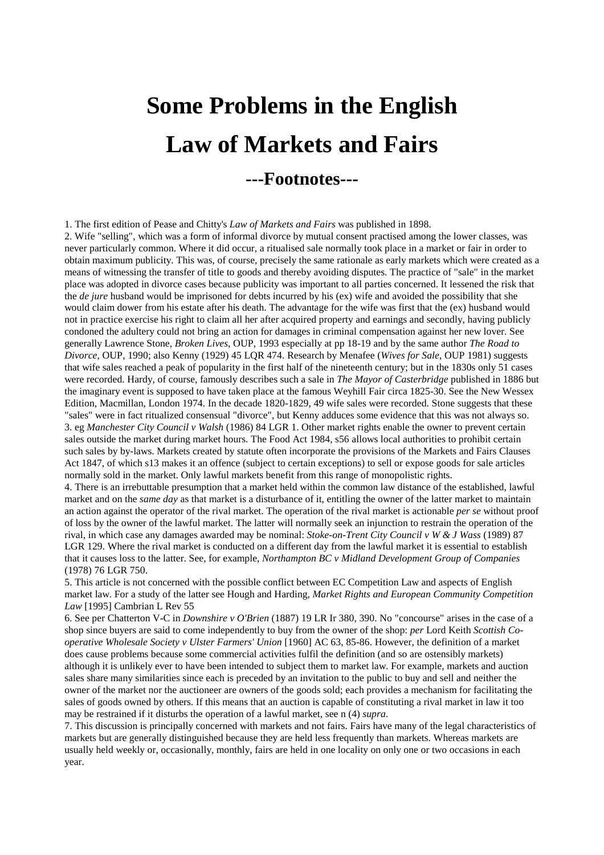# **Some Problems in the English Law of Markets and Fairs ---Footnotes---**

1. The first edition of Pease and Chitty's *Law of Markets and Fairs* was published in 1898.

2. Wife "selling", which was a form of informal divorce by mutual consent practised among the lower classes, was never particularly common. Where it did occur, a ritualised sale normally took place in a market or fair in order to obtain maximum publicity. This was, of course, precisely the same rationale as early markets which were created as a means of witnessing the transfer of title to goods and thereby avoiding disputes. The practice of "sale" in the market place was adopted in divorce cases because publicity was important to all parties concerned. It lessened the risk that the *de jure* husband would be imprisoned for debts incurred by his (ex) wife and avoided the possibility that she would claim dower from his estate after his death. The advantage for the wife was first that the (ex) husband would not in practice exercise his right to claim all her after acquired property and earnings and secondly, having publicly condoned the adultery could not bring an action for damages in criminal compensation against her new lover. See generally Lawrence Stone, *Broken Lives*, OUP, 1993 especially at pp 18-19 and by the same author *The Road to Divorce*, OUP, 1990; also Kenny (1929) 45 LQR 474. Research by Menafee (*Wives for Sale*, OUP 1981) suggests that wife sales reached a peak of popularity in the first half of the nineteenth century; but in the 1830s only 51 cases were recorded. Hardy, of course, famously describes such a sale in *The Mayor of Casterbridge* published in 1886 but the imaginary event is supposed to have taken place at the famous Weyhill Fair circa 1825-30. See the New Wessex Edition, Macmillan, London 1974. In the decade 1820-1829, 49 wife sales were recorded. Stone suggests that these "sales" were in fact ritualized consensual "divorce", but Kenny adduces some evidence that this was not always so. 3. eg *Manchester City Council v Walsh* (1986) 84 LGR 1. Other market rights enable the owner to prevent certain sales outside the market during market hours. The Food Act 1984, s56 allows local authorities to prohibit certain such sales by by-laws. Markets created by statute often incorporate the provisions of the Markets and Fairs Clauses Act 1847, of which s13 makes it an offence (subject to certain exceptions) to sell or expose goods for sale articles normally sold in the market. Only lawful markets benefit from this range of monopolistic rights.

4. There is an irrebuttable presumption that a market held within the common law distance of the established, lawful market and on the *same day* as that market is a disturbance of it, entitling the owner of the latter market to maintain an action against the operator of the rival market. The operation of the rival market is actionable *per se* without proof of loss by the owner of the lawful market. The latter will normally seek an injunction to restrain the operation of the rival, in which case any damages awarded may be nominal: *Stoke-on-Trent City Council v W & J Wass* (1989) 87 LGR 129. Where the rival market is conducted on a different day from the lawful market it is essential to establish that it causes loss to the latter. See, for example, *Northampton BC v Midland Development Group of Companies* (1978) 76 LGR 750.

5. This article is not concerned with the possible conflict between EC Competition Law and aspects of English market law. For a study of the latter see Hough and Harding, *Market Rights and European Community Competition Law* [1995] Cambrian L Rev 55

6. See per Chatterton V-C in *Downshire v O'Brien* (1887) 19 LR Ir 380, 390. No "concourse" arises in the case of a shop since buyers are said to come independently to buy from the owner of the shop: *per* Lord Keith *Scottish Cooperative Wholesale Society v Ulster Farmers' Union* [1960] AC 63, 85-86. However, the definition of a market does cause problems because some commercial activities fulfil the definition (and so are ostensibly markets) although it is unlikely ever to have been intended to subject them to market law. For example, markets and auction sales share many similarities since each is preceded by an invitation to the public to buy and sell and neither the owner of the market nor the auctioneer are owners of the goods sold; each provides a mechanism for facilitating the sales of goods owned by others. If this means that an auction is capable of constituting a rival market in law it too may be restrained if it disturbs the operation of a lawful market, see n (4) *supra*.

7. This discussion is principally concerned with markets and not fairs. Fairs have many of the legal characteristics of markets but are generally distinguished because they are held less frequently than markets. Whereas markets are usually held weekly or, occasionally, monthly, fairs are held in one locality on only one or two occasions in each year.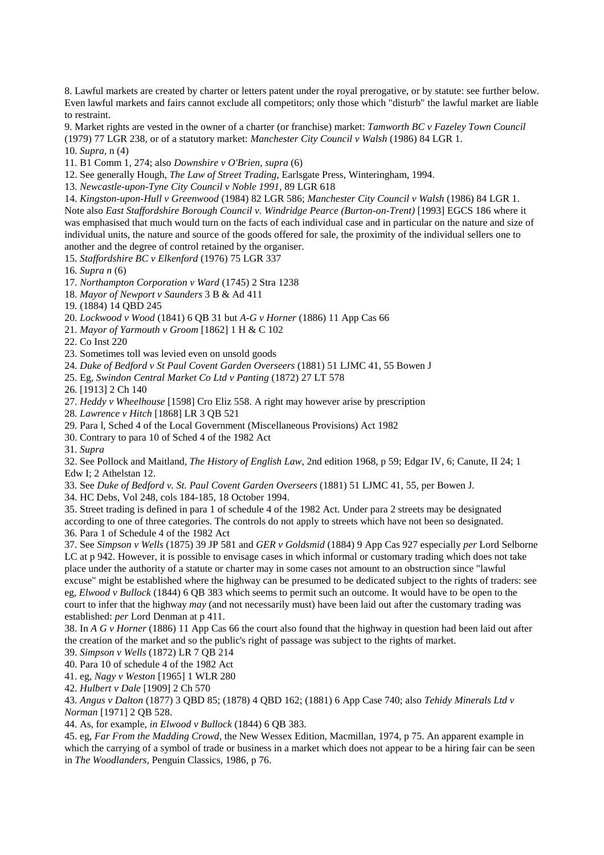8. Lawful markets are created by charter or letters patent under the royal prerogative, or by statute: see further below. Even lawful markets and fairs cannot exclude all competitors; only those which "disturb" the lawful market are liable to restraint.

9. Market rights are vested in the owner of a charter (or franchise) market: *Tamworth BC v Fazeley Town Council* (1979) 77 LGR 238, or of a statutory market: *Manchester City Council v Walsh* (1986) 84 LGR 1.

10. *Supra*, n (4)

11. B1 Comm 1, 274; also *Downshire v O'Brien*, *supra* (6)

12. See generally Hough, *The Law of Street Trading*, Earlsgate Press, Winteringham, 1994.

13. *Newcastle-upon-Tyne City Council v Noble 1991*, 89 LGR 618

14. *Kingston-upon-Hull v Greenwood* (1984) 82 LGR 586; *Manchester City Council v Walsh* (1986) 84 LGR 1. Note also *East Staffordshire Borough Council v. Windridge Pearce (Burton-on-Trent)* [1993] EGCS 186 where it was emphasised that much would turn on the facts of each individual case and in particular on the nature and size of individual units, the nature and source of the goods offered for sale, the proximity of the individual sellers one to another and the degree of control retained by the organiser.

15. *Staffordshire BC v Elkenford* (1976) 75 LGR 337

16. *Supra n* (6)

17. *Northampton Corporation v Ward* (1745) 2 Stra 1238

18. *Mayor of Newport v Saunders* 3 B & Ad 411

19. (1884) 14 QBD 245

20. *Lockwood v Wood* (1841) 6 QB 31 but *A-G v Horner* (1886) 11 App Cas 66

21. *Mayor of Yarmouth v Groom* [1862] 1 H & C 102

22. Co Inst 220

23. Sometimes toll was levied even on unsold goods

24. *Duke of Bedford v St Paul Covent Garden Overseers* (1881) 51 LJMC 41, 55 Bowen J

25. Eg, *Swindon Central Market Co Ltd v Panting* (1872) 27 LT 578

26. [1913] 2 Ch 140

27. *Heddy v Wheelhouse* [1598] Cro Eliz 558. A right may however arise by prescription

28. *Lawrence v Hitch* [1868] LR 3 QB 521

29. Para l, Sched 4 of the Local Government (Miscellaneous Provisions) Act 1982

30. Contrary to para 10 of Sched 4 of the 1982 Act

31. *Supra*

32. See Pollock and Maitland, *The History of English Law*, 2nd edition 1968, p 59; Edgar IV, 6; Canute, II 24; 1 Edw I; 2 Athelstan 12.

33. See *Duke of Bedford v. St. Paul Covent Garden Overseers* (1881) 51 LJMC 41, 55, per Bowen J.

34. HC Debs, Vol 248, cols 184-185, 18 October 1994.

35. Street trading is defined in para 1 of schedule 4 of the 1982 Act. Under para 2 streets may be designated according to one of three categories. The controls do not apply to streets which have not been so designated. 36. Para 1 of Schedule 4 of the 1982 Act

37. See *Simpson v Wells* (1875) 39 JP 581 and *GER v Goldsmid* (1884) 9 App Cas 927 especially *per* Lord Selborne LC at p 942. However, it is possible to envisage cases in which informal or customary trading which does not take place under the authority of a statute or charter may in some cases not amount to an obstruction since "lawful excuse" might be established where the highway can be presumed to be dedicated subject to the rights of traders: see eg, *Elwood v Bullock* (1844) 6 QB 383 which seems to permit such an outcome. It would have to be open to the court to infer that the highway *may* (and not necessarily must) have been laid out after the customary trading was established: *per* Lord Denman at p 411.

38. In *A G v Horner* (1886) 11 App Cas 66 the court also found that the highway in question had been laid out after the creation of the market and so the public's right of passage was subject to the rights of market.

39. *Simpson v Wells* (1872) LR 7 QB 214

40. Para 10 of schedule 4 of the 1982 Act

41. eg, *Nagy v Weston* [1965] 1 WLR 280

42. *Hulbert v Dale* [1909] 2 Ch 570

43. *Angus v Dalton* (1877) 3 QBD 85; (1878) 4 QBD 162; (1881) 6 App Case 740; also *Tehidy Minerals Ltd v Norman* [1971] 2 QB 528.

44. As, for example, *in Elwood v Bullock* (1844) 6 QB 383.

45. eg, *Far From the Madding Crowd*, the New Wessex Edition, Macmillan, 1974, p 75. An apparent example in which the carrying of a symbol of trade or business in a market which does not appear to be a hiring fair can be seen in *The Woodlanders*, Penguin Classics, 1986, p 76.